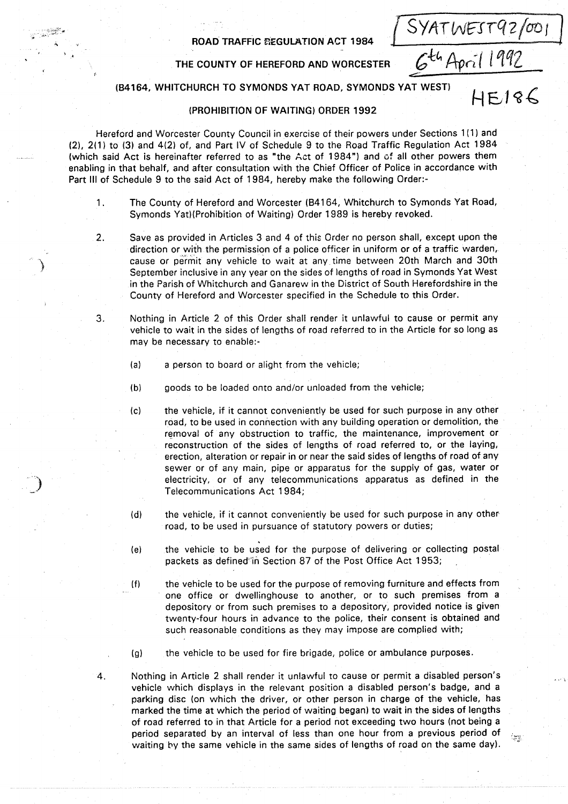#### ROAD TRAFFIC REGULATION ACT 1984

## THE COUNTY OF HEREFORD AND WORCESTER

 $\frac{1}{\sqrt{2}}$  $\Gamma$ 

SYATWEST92/001

# (134164, WHITCHURCH TO SYMONDS YAT ROAD, SYMONDS YAT WEST)

#### (PROHIBITION OF WAITING) ORDER 1992

Hereford and Worcester County Council in exercise of their powers under Sections 1(1) and (2), 2(1) to (3) and 4(2) of, and Part IV of Schedule 9 to the Road Traffic Regulation Act 1984 (which said Act is hereinafter referred to as "the Act of 1984") and of all other powers them enabling in that behalf, and after consultation with the Chief Officer of Police in accordance with Part III of Schedule 9 to the said Act of 1984, hereby make the following Order:-

- 1. The County of Hereford and Worcester (B4164, Whitchurch to Symonds Yat Road, Symonds Yat) (Prohibition of Waiting) Order 1989 is hereby revoked .
- 2. Save as provided in Articles 3 and 4 of this Order no person shall, except upon the direction or with the permission of a police officer in uniform or of a traffic warden, cause or permit any vehicle to wait at any, time between 20th March and 30th September inclusive in any year on the sides of lengths of road in Symonds Yat West in the Parish of Whitchurch and Ganarew in the District of South Herefordshire in the County of Hereford and Worcester specified in the Schedule to this Order.
- 3 . Nothing in Article 2 of this Order shall render it unlawful to cause or permit any vehicle to wait in the sides of lengths of road referred to in the Article for so long as may be necessary to enable:-
	- (a) a person to board or alight from the vehicle;

4.

- (b) goods to be loaded onto and/or unloaded from the vehicle;
- (c) the vehicle, if it cannot conveniently be used for such purpose in any other road, to be used in connection with any building operation or demolition, the removal of any obstruction to traffic, the maintenance, improvement or reconstruction of the sides of lengths of road referred to, or the laying, erection, alteration or repair in or near the said sides of lengths of road of any sewer or of any main, pipe or apparatus for the supply of gas, water or electricity, or of any telecommunications apparatus as defined in the Telecommunications Act 1984;
- (d) the vehicle, if it cannot conveniently be used for such purpose in any other road, to be used in pursuance of statutory powers or duties;
- (e) the vehicle to be used for the purpose of delivering or collecting postal packets as defined in Section 87 of the Post Office Act 1953;
- (f) the vehicle to be used for the purpose of removing furniture and effects from one office or dwellinghouse to another, or to such premises from <sup>a</sup> depository or from such premises to a depository, provided notice is given twenty-four hours in advance to the police, their consent is obtained and such reasonable conditions as they may impose are complied with;
- (g) the vehicle to be used for fire brigade, police or ambulance purposes .
- Nothing in Article 2 shall render it unlawful to cause or permit <sup>a</sup> disabled person's vehicle which displays in the relevant position <sup>a</sup> disabled person's badge, and <sup>a</sup> parking disc (on which the driver, or other person in charge of the vehicle, has marked the time at which the period of waiting began) to wait in the sides of lengths of road referred to in that Article for <sup>a</sup> period not exceeding two hours (not being a period separated by an interval of less than one hour from a previous period of waiting by the same vehicle in the same sides of lengths of road on the same day) .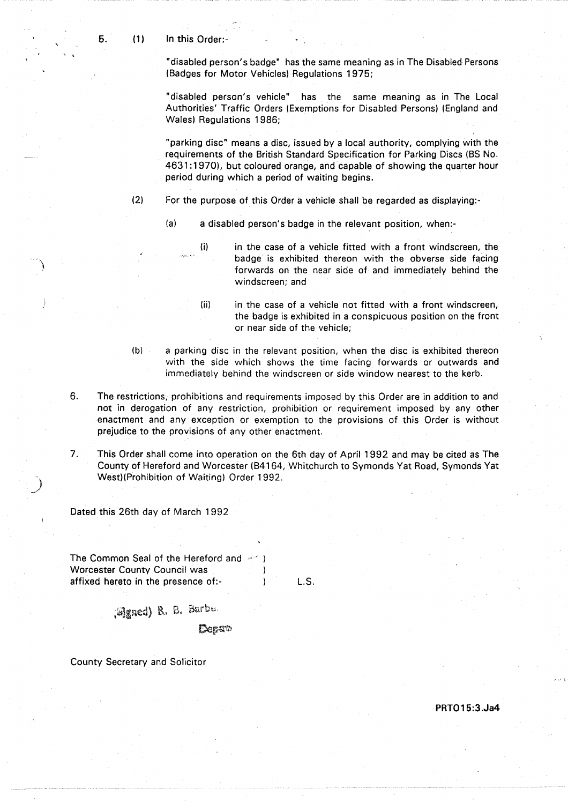"disabled person's badge" has the same meaning as in The Disabled Persons (Badges for Motor Vehicles) Regulations 1975;

"disabled person's vehicle" has the same meaning as in The Local Authorities' Traffic Orders (Exemptions for Disabled Persons) (England and Wales) Regulations 1986;

"parking disc" means a disc, issued by a local authority, complying with the requirements of the British Standard Specification for Parking Discs (BS No. 4631 :1970), but coloured orange, and capable of showing the quarter hour period during which a period of waiting begins.

- (2) For the purpose of this Order a vehicle shall be regarded as displaying:-
	- (a) a disabled person's badge in the relevant position, when:-

(i) in the case of a vehicle fitted with a front windscreen, the badge is exhibited thereon with the obverse side facing forwards on the near side of and immediately behind the windscreen; and

- (ii) in the case of a vehicle not fitted with a front windscreen, the badge is exhibited in a conspicuous position on the front or near side of the vehicle;
- (b) a parking disc in the relevant position, when the disc is exhibited thereon with the side which shows the time facing forwards or outwards and immediately behind the windscreen or side window nearest to the kerb.
- 6. The restrictions, prohibitions and requirements imposed by this Order are in addition to and not in derogation of any restriction, prohibition or requirement imposed by any other enactment and any exception or exemption to the provisions of this Order is without prejudice to the provisions of any other enactment.
- 7. This Order shall come into operation on the 6th day of April 1992 and may be cited as The County of Hereford and Worcester (B4164, Whitchurch to Symonds Yat Road, Symonds Yat West)(Prohibition of Waiting) Order 1992 .

Dated this 26th day of March 1992

The Common Seal of the Hereford and  $-$  ) Worcester County Council was (a) (a) affixed hereto in the presence of:affixed hereto in the presence of:-

L. S.

(Signed) R. S. Barbe.

Depat

County Secretary and Solicitor

PRTO 15:3 .Ja4

5.

 $(1)$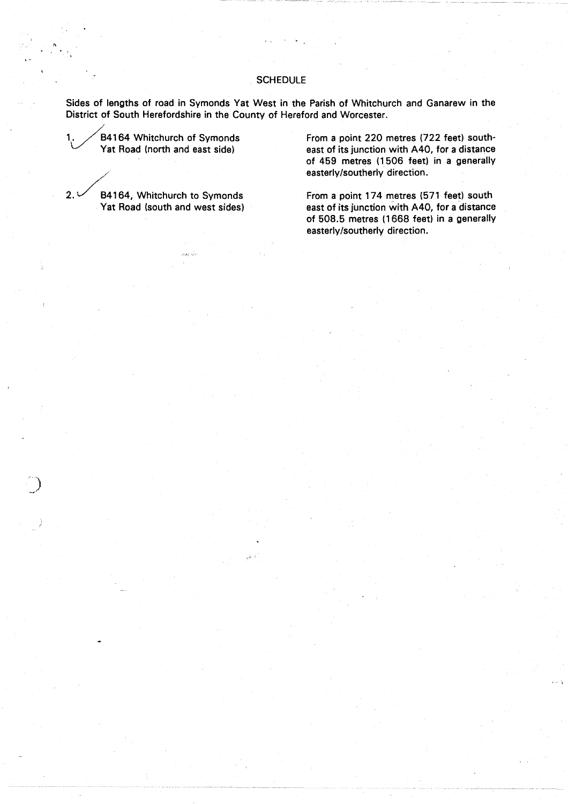### **SCHEDULE**

Sides of lengths of road in Symonds Yat West in the Parish of Whitchurch and Ganarew in the District of South Herefordshire in the County of Hereford and Worcester.

84164 Whitchurch of Symonds Yat Road (north and east side)

 $2.1$ 

84164, Whitchurch to Symonds

From a point 220 metres (722 feet) southeast of its junction with A40, for a distance of 459 metres (1506 feet) in a generally easterly/southerly direction.

From a point 174 metres (571 feet) south Yat Road (south and west sides) east of its junction with A40, for a distance of 508.5 metres (1668 feet) in a generally easterly/southerly direction.